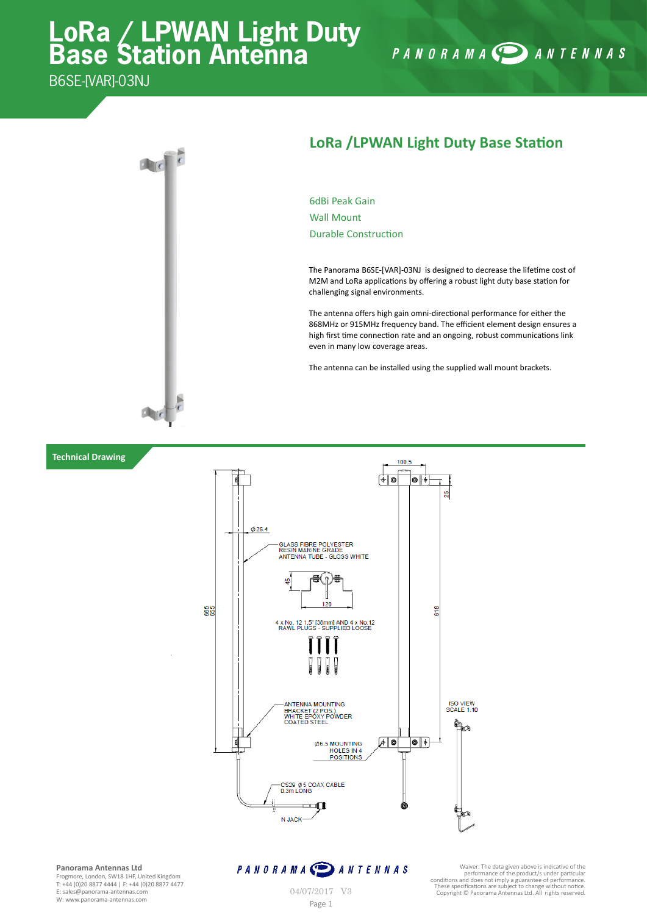# **LoRa / LPWAN Light Duty Base Station Antenna**

B6SE-IVARI-03NJ

**Technical Drawing**



#### **LoRa /LPWAN Light Duty Base Station**

PANORAMA DANTENNAS

6dBi Peak Gain Wall Mount Durable Construction

The Panorama B6SE-[VAR]-03NJ is designed to decrease the lifetime cost of M2M and LoRa applications by offering a robust light duty base station for challenging signal environments.

The antenna offers high gain omni-directional performance for either the 868MHz or 915MHz frequency band. The efficient element design ensures a high first time connection rate and an ongoing, robust communications link even in many low coverage areas.

The antenna can be installed using the supplied wall mount brackets.



**Panorama Antennas Ltd** Frogmore, London, SW18 1HF, United Kingdom

T: +44 (0)20 8877 4444 | F: +44 (0)20 8877 4477 E: sales@panorama-antennas.com W: www.panorama-antennas.com Page 1

### PANORAMA DANTENNAS

**M A CO** A N T E N N A S<br>
waver: The data given above is indicative of the product is under preformance of the product is under product to and to perform that conditions and does not imply a guarantee of performance.<br>
O4/